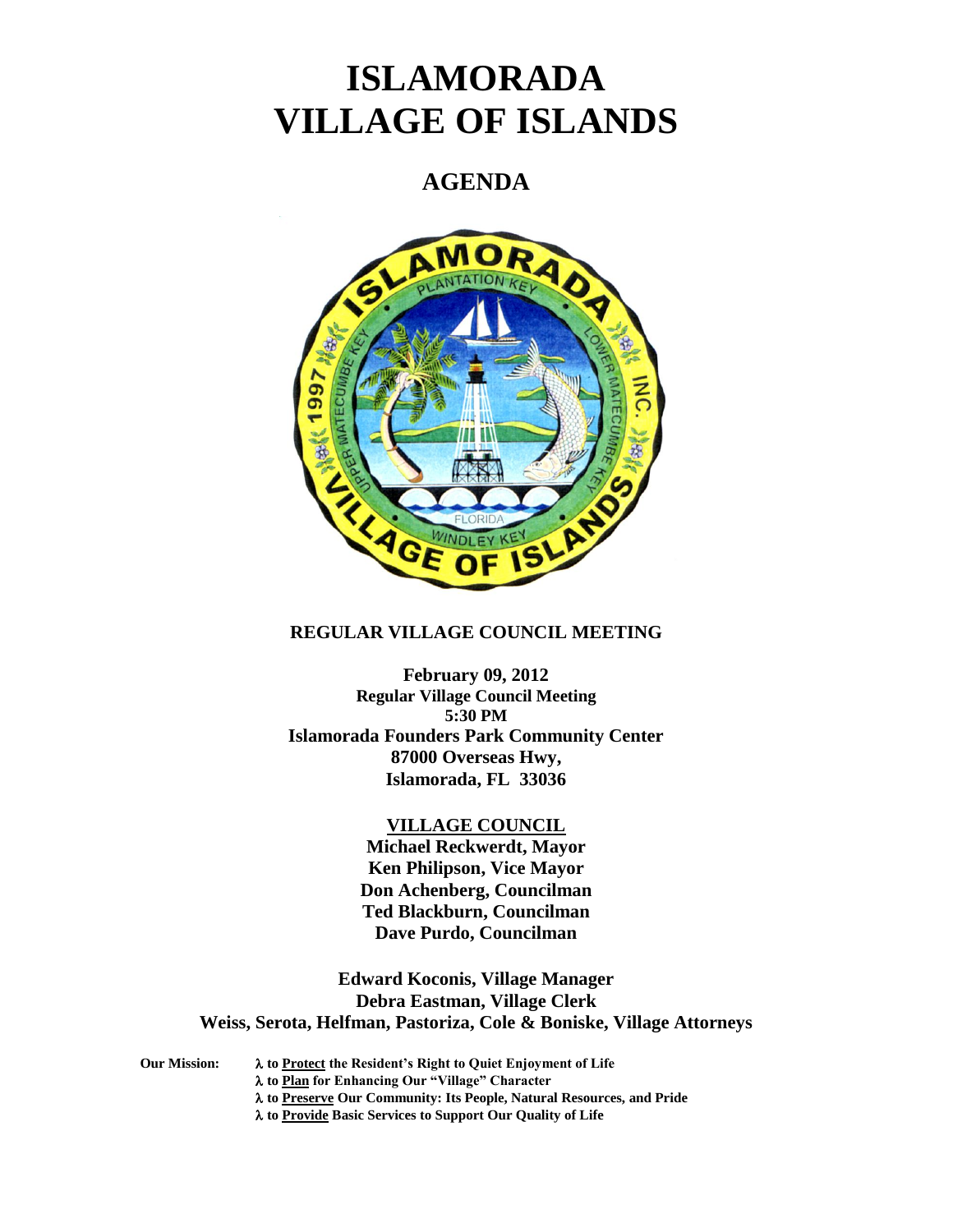# **ISLAMORADA VILLAGE OF ISLANDS**

# **AGENDA**



## **REGULAR VILLAGE COUNCIL MEETING**

**February 09, 2012 Regular Village Council Meeting 5:30 PM Islamorada Founders Park Community Center 87000 Overseas Hwy, Islamorada, FL 33036**

#### **VILLAGE COUNCIL**

**Michael Reckwerdt, Mayor Ken Philipson, Vice Mayor Don Achenberg, Councilman Ted Blackburn, Councilman Dave Purdo, Councilman**

**Edward Koconis, Village Manager Debra Eastman, Village Clerk Weiss, Serota, Helfman, Pastoriza, Cole & Boniske, Village Attorneys**

**Our Mission: to Protect the Resident's Right to Quiet Enjoyment of Life to Plan for Enhancing Our "Village" Character to Preserve Our Community: Its People, Natural Resources, and Pride to Provide Basic Services to Support Our Quality of Life**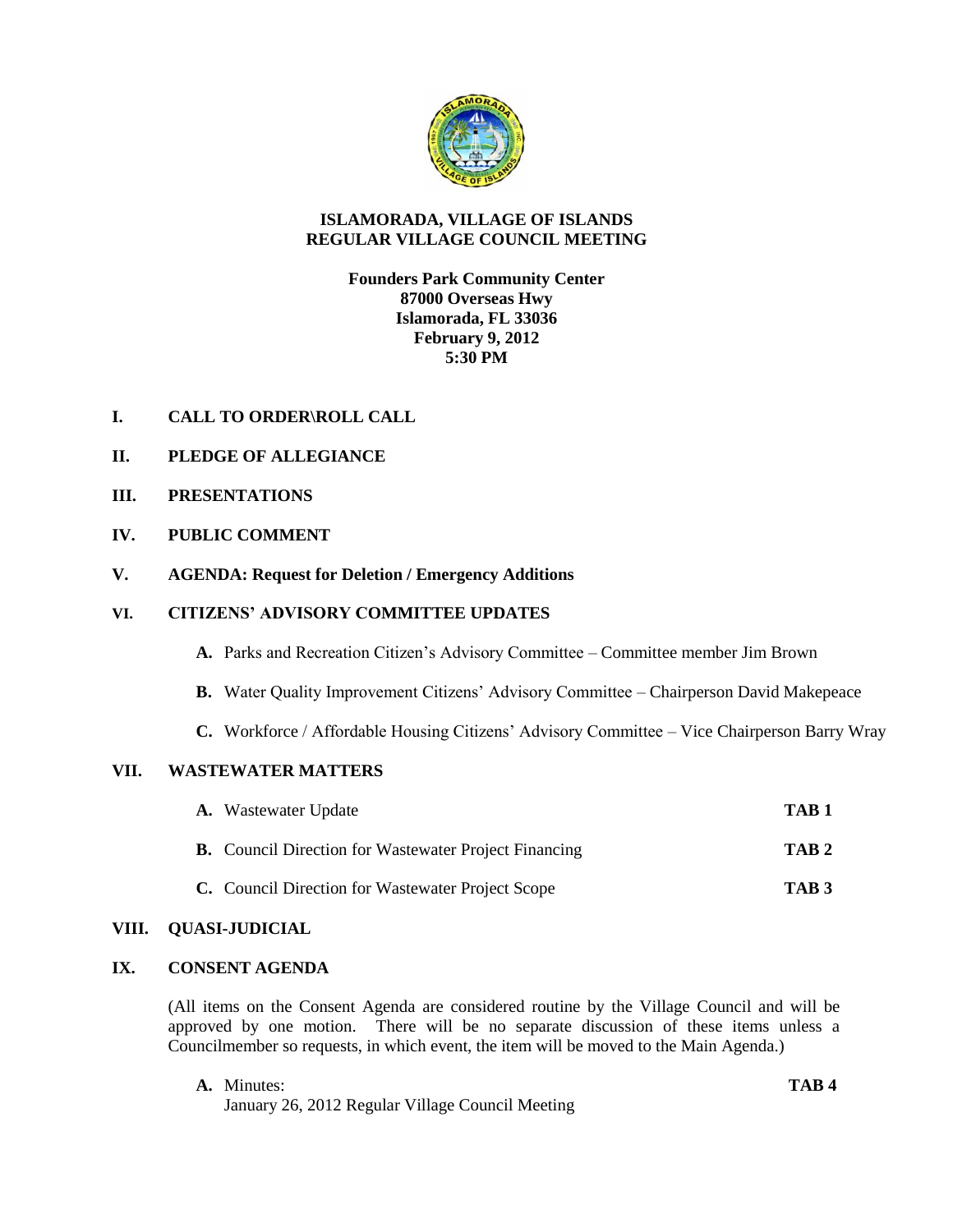

### **ISLAMORADA, VILLAGE OF ISLANDS REGULAR VILLAGE COUNCIL MEETING**

**Founders Park Community Center 87000 Overseas Hwy Islamorada, FL 33036 February 9, 2012 5:30 PM**

# **I. CALL TO ORDER\ROLL CALL**

- **II. PLEDGE OF ALLEGIANCE**
- **III. PRESENTATIONS**
- **IV. PUBLIC COMMENT**
- **V. AGENDA: Request for Deletion / Emergency Additions**

#### **VI. CITIZENS' ADVISORY COMMITTEE UPDATES**

- **A.** Parks and Recreation Citizen's Advisory Committee Committee member Jim Brown
- **B.** Water Quality Improvement Citizens' Advisory Committee Chairperson David Makepeace
- **C.** Workforce / Affordable Housing Citizens' Advisory Committee Vice Chairperson Barry Wray

# **VII. WASTEWATER MATTERS**

| <b>A.</b> Wastewater Update                                  | TAB <sub>1</sub> |
|--------------------------------------------------------------|------------------|
| <b>B.</b> Council Direction for Wastewater Project Financing | TAB <sub>2</sub> |
| C. Council Direction for Wastewater Project Scope            | TAB <sub>3</sub> |

#### **VIII. QUASI-JUDICIAL**

## **IX. CONSENT AGENDA**

(All items on the Consent Agenda are considered routine by the Village Council and will be approved by one motion. There will be no separate discussion of these items unless a Councilmember so requests, in which event, the item will be moved to the Main Agenda.)

**A.** Minutes: **TAB 4** January 26, 2012 Regular Village Council Meeting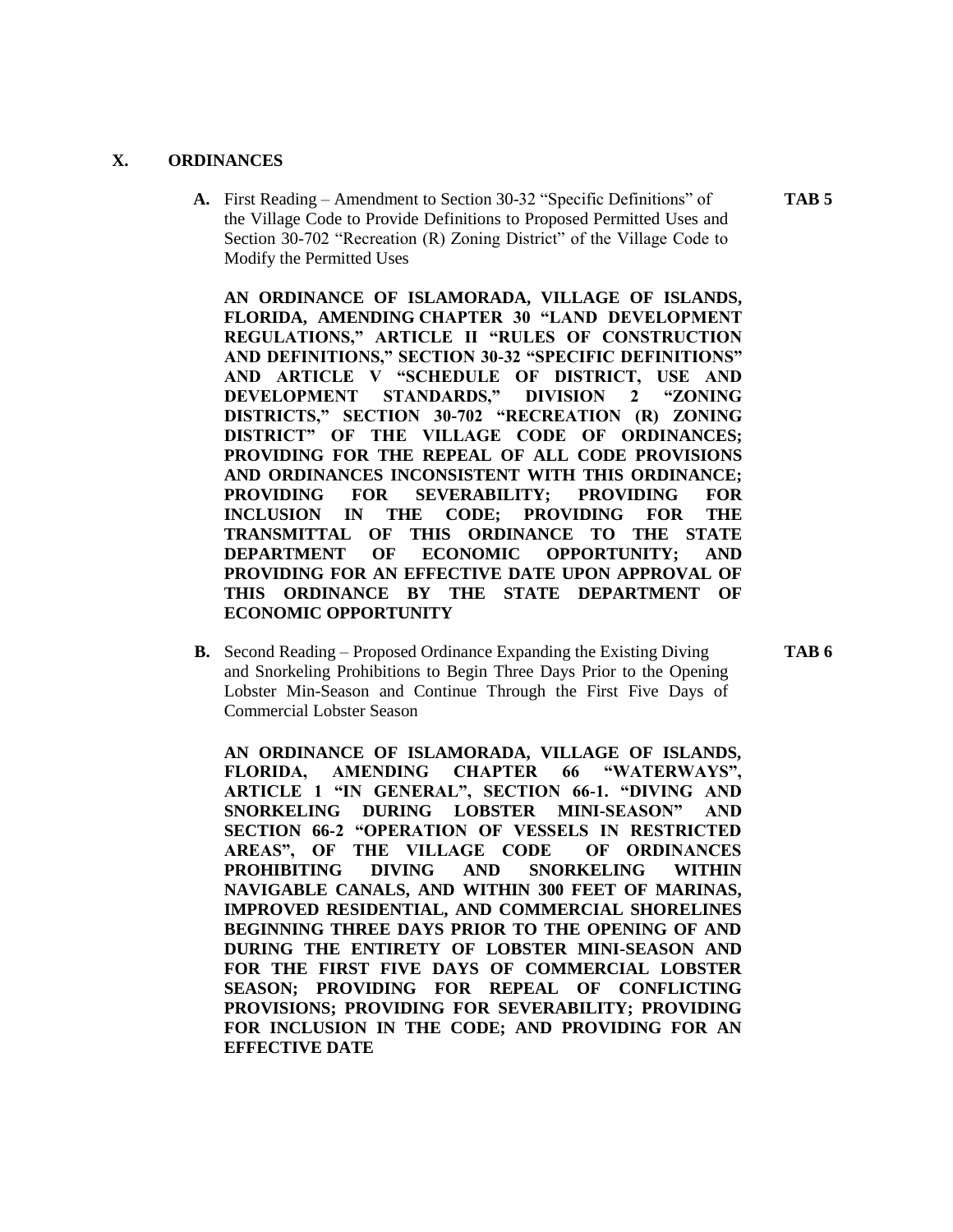#### **X. ORDINANCES**

**A.** First Reading – Amendment to Section 30-32 "Specific Definitions" of **TAB 5** the Village Code to Provide Definitions to Proposed Permitted Uses and Section 30-702 "Recreation (R) Zoning District" of the Village Code to Modify the Permitted Uses

**AN ORDINANCE OF ISLAMORADA, VILLAGE OF ISLANDS, FLORIDA, AMENDING CHAPTER 30 "LAND DEVELOPMENT REGULATIONS," ARTICLE II "RULES OF CONSTRUCTION AND DEFINITIONS," SECTION 30-32 "SPECIFIC DEFINITIONS" AND ARTICLE V "SCHEDULE OF DISTRICT, USE AND DEVELOPMENT STANDARDS," DIVISION 2 "ZONING DISTRICTS," SECTION 30-702 "RECREATION (R) ZONING DISTRICT" OF THE VILLAGE CODE OF ORDINANCES; PROVIDING FOR THE REPEAL OF ALL CODE PROVISIONS AND ORDINANCES INCONSISTENT WITH THIS ORDINANCE; PROVIDING FOR SEVERABILITY; PROVIDING FOR INCLUSION IN THE CODE; PROVIDING FOR THE TRANSMITTAL OF THIS ORDINANCE TO THE STATE DEPARTMENT OF ECONOMIC OPPORTUNITY; AND PROVIDING FOR AN EFFECTIVE DATE UPON APPROVAL OF THIS ORDINANCE BY THE STATE DEPARTMENT OF ECONOMIC OPPORTUNITY**

**B.** Second Reading – Proposed Ordinance Expanding the Existing Diving **TAB 6** and Snorkeling Prohibitions to Begin Three Days Prior to the Opening Lobster Min-Season and Continue Through the First Five Days of Commercial Lobster Season

**AN ORDINANCE OF ISLAMORADA, VILLAGE OF ISLANDS, FLORIDA, AMENDING CHAPTER 66 "WATERWAYS", ARTICLE 1 "IN GENERAL", SECTION 66-1. "DIVING AND SNORKELING DURING LOBSTER MINI-SEASON" AND SECTION 66-2 "OPERATION OF VESSELS IN RESTRICTED AREAS", OF THE VILLAGE CODE OF ORDINANCES PROHIBITING DIVING AND SNORKELING WITHIN NAVIGABLE CANALS, AND WITHIN 300 FEET OF MARINAS, IMPROVED RESIDENTIAL, AND COMMERCIAL SHORELINES BEGINNING THREE DAYS PRIOR TO THE OPENING OF AND DURING THE ENTIRETY OF LOBSTER MINI-SEASON AND FOR THE FIRST FIVE DAYS OF COMMERCIAL LOBSTER SEASON; PROVIDING FOR REPEAL OF CONFLICTING PROVISIONS; PROVIDING FOR SEVERABILITY; PROVIDING FOR INCLUSION IN THE CODE; AND PROVIDING FOR AN EFFECTIVE DATE**